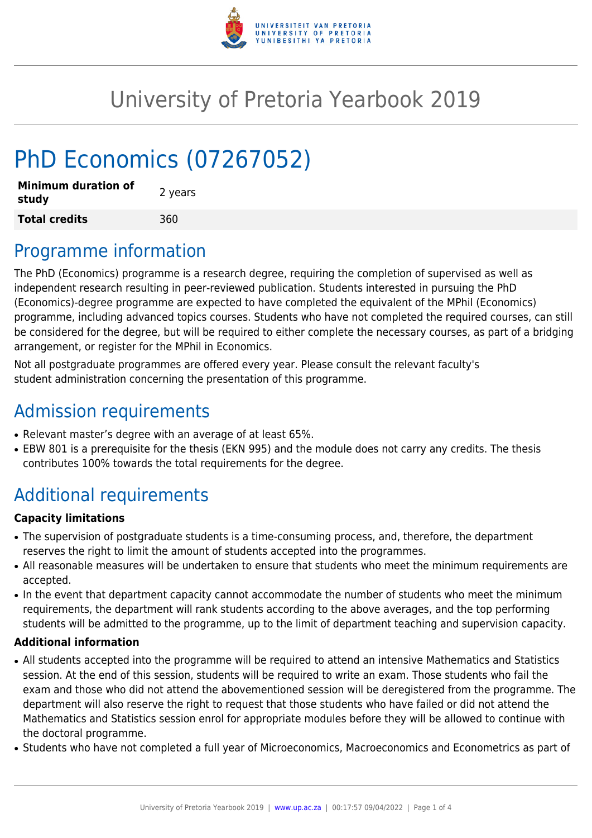

# University of Pretoria Yearbook 2019

# PhD Economics (07267052)

| <b>Minimum duration of</b><br>study | 2 years |
|-------------------------------------|---------|
| <b>Total credits</b>                | 360     |

### Programme information

The PhD (Economics) programme is a research degree, requiring the completion of supervised as well as independent research resulting in peer-reviewed publication. Students interested in pursuing the PhD (Economics)-degree programme are expected to have completed the equivalent of the MPhil (Economics) programme, including advanced topics courses. Students who have not completed the required courses, can still be considered for the degree, but will be required to either complete the necessary courses, as part of a bridging arrangement, or register for the MPhil in Economics.

Not all postgraduate programmes are offered every year. Please consult the relevant faculty's student administration concerning the presentation of this programme.

### Admission requirements

- Relevant master's degree with an average of at least 65%.
- EBW 801 is a prerequisite for the thesis (EKN 995) and the module does not carry any credits. The thesis contributes 100% towards the total requirements for the degree.

## Additional requirements

#### **Capacity limitations**

- The supervision of postgraduate students is a time-consuming process, and, therefore, the department reserves the right to limit the amount of students accepted into the programmes.
- All reasonable measures will be undertaken to ensure that students who meet the minimum requirements are accepted.
- In the event that department capacity cannot accommodate the number of students who meet the minimum requirements, the department will rank students according to the above averages, and the top performing students will be admitted to the programme, up to the limit of department teaching and supervision capacity.

#### **Additional information**

- All students accepted into the programme will be required to attend an intensive Mathematics and Statistics session. At the end of this session, students will be required to write an exam. Those students who fail the exam and those who did not attend the abovementioned session will be deregistered from the programme. The department will also reserve the right to request that those students who have failed or did not attend the Mathematics and Statistics session enrol for appropriate modules before they will be allowed to continue with the doctoral programme.
- Students who have not completed a full year of Microeconomics, Macroeconomics and Econometrics as part of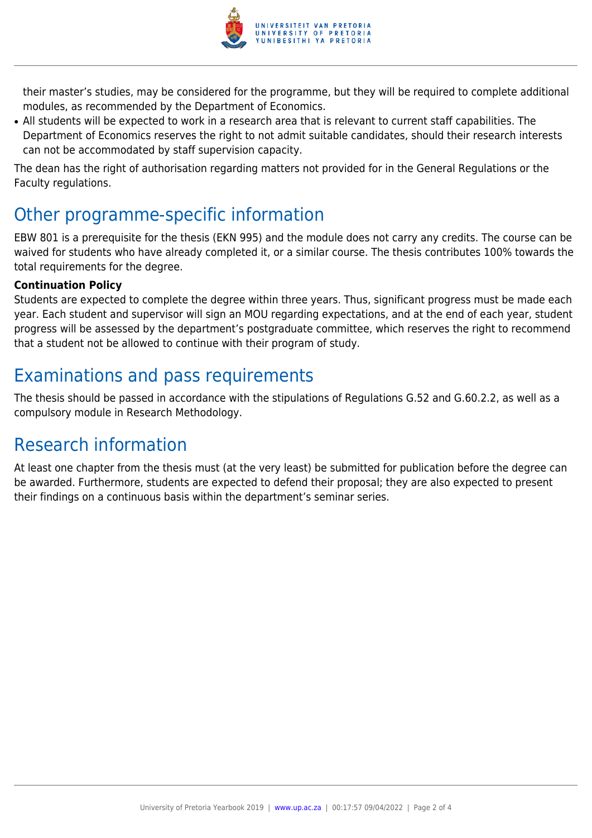

their master's studies, may be considered for the programme, but they will be required to complete additional modules, as recommended by the Department of Economics.

• All students will be expected to work in a research area that is relevant to current staff capabilities. The Department of Economics reserves the right to not admit suitable candidates, should their research interests can not be accommodated by staff supervision capacity.

The dean has the right of authorisation regarding matters not provided for in the General Regulations or the Faculty regulations.

### Other programme-specific information

EBW 801 is a prerequisite for the thesis (EKN 995) and the module does not carry any credits. The course can be waived for students who have already completed it, or a similar course. The thesis contributes 100% towards the total requirements for the degree.

#### **Continuation Policy**

Students are expected to complete the degree within three years. Thus, significant progress must be made each year. Each student and supervisor will sign an MOU regarding expectations, and at the end of each year, student progress will be assessed by the department's postgraduate committee, which reserves the right to recommend that a student not be allowed to continue with their program of study.

## Examinations and pass requirements

The thesis should be passed in accordance with the stipulations of Regulations G.52 and G.60.2.2, as well as a compulsory module in Research Methodology.

### Research information

At least one chapter from the thesis must (at the very least) be submitted for publication before the degree can be awarded. Furthermore, students are expected to defend their proposal; they are also expected to present their findings on a continuous basis within the department's seminar series.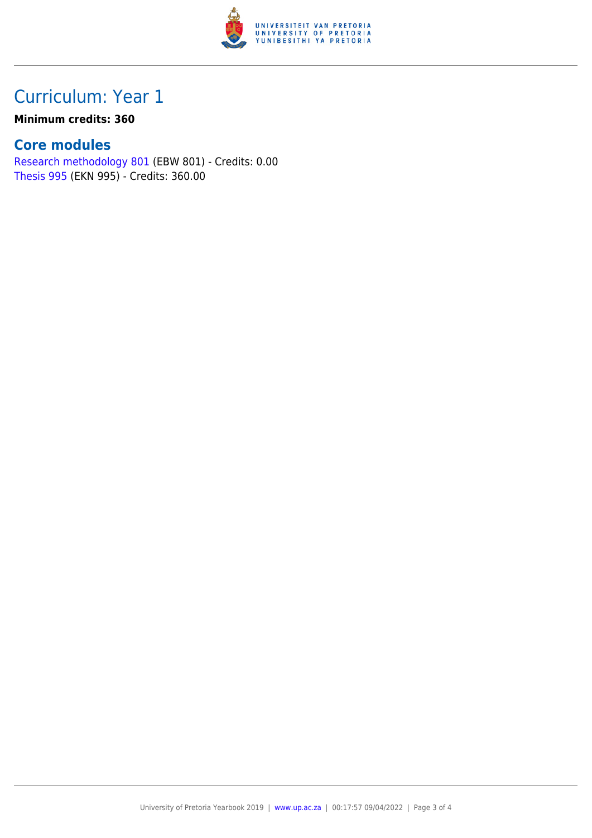

### Curriculum: Year 1

#### **Minimum credits: 360**

### **Core modules**

[Research methodology 801](https://www.up.ac.za/yearbooks/2019/modules/view/EBW 801) (EBW 801) - Credits: 0.00 [Thesis 995](https://www.up.ac.za/yearbooks/2019/modules/view/EKN 995) (EKN 995) - Credits: 360.00